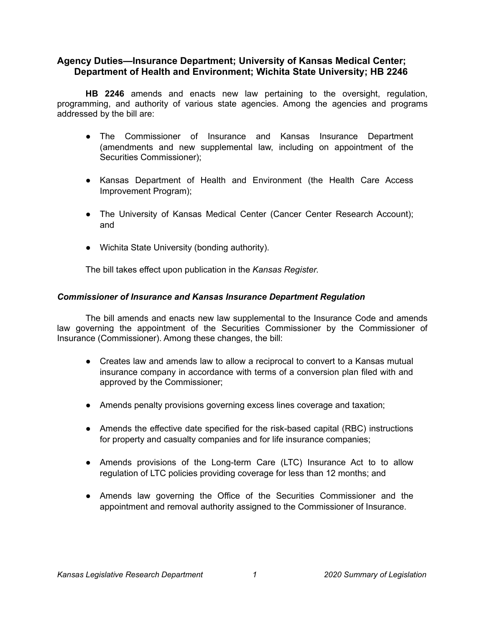# **Agency Duties—Insurance Department; University of Kansas Medical Center; Department of Health and Environment; Wichita State University; HB 2246**

**HB 2246** amends and enacts new law pertaining to the oversight, regulation, programming, and authority of various state agencies. Among the agencies and programs addressed by the bill are:

- The Commissioner of Insurance and Kansas Insurance Department (amendments and new supplemental law, including on appointment of the Securities Commissioner);
- Kansas Department of Health and Environment (the Health Care Access Improvement Program);
- The University of Kansas Medical Center (Cancer Center Research Account); and
- Wichita State University (bonding authority).

The bill takes effect upon publication in the *Kansas Register*.

### *Commissioner of Insurance and Kansas Insurance Department Regulation*

The bill amends and enacts new law supplemental to the Insurance Code and amends law governing the appointment of the Securities Commissioner by the Commissioner of Insurance (Commissioner). Among these changes, the bill:

- Creates law and amends law to allow a reciprocal to convert to a Kansas mutual insurance company in accordance with terms of a conversion plan filed with and approved by the Commissioner;
- Amends penalty provisions governing excess lines coverage and taxation;
- Amends the effective date specified for the risk-based capital (RBC) instructions for property and casualty companies and for life insurance companies;
- Amends provisions of the Long-term Care (LTC) Insurance Act to to allow regulation of LTC policies providing coverage for less than 12 months; and
- Amends law governing the Office of the Securities Commissioner and the appointment and removal authority assigned to the Commissioner of Insurance.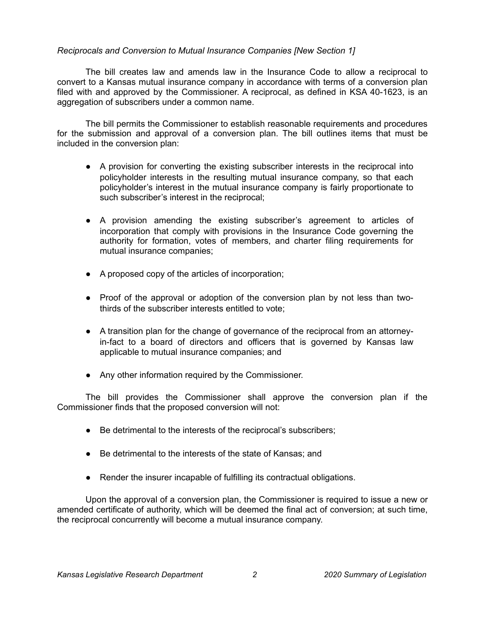### *Reciprocals and Conversion to Mutual Insurance Companies [New Section 1]*

The bill creates law and amends law in the Insurance Code to allow a reciprocal to convert to a Kansas mutual insurance company in accordance with terms of a conversion plan filed with and approved by the Commissioner. A reciprocal, as defined in KSA 40-1623, is an aggregation of subscribers under a common name.

The bill permits the Commissioner to establish reasonable requirements and procedures for the submission and approval of a conversion plan. The bill outlines items that must be included in the conversion plan:

- A provision for converting the existing subscriber interests in the reciprocal into policyholder interests in the resulting mutual insurance company, so that each policyholder's interest in the mutual insurance company is fairly proportionate to such subscriber's interest in the reciprocal;
- A provision amending the existing subscriber's agreement to articles of incorporation that comply with provisions in the Insurance Code governing the authority for formation, votes of members, and charter filing requirements for mutual insurance companies;
- A proposed copy of the articles of incorporation;
- Proof of the approval or adoption of the conversion plan by not less than twothirds of the subscriber interests entitled to vote;
- A transition plan for the change of governance of the reciprocal from an attorneyin-fact to a board of directors and officers that is governed by Kansas law applicable to mutual insurance companies; and
- Any other information required by the Commissioner.

The bill provides the Commissioner shall approve the conversion plan if the Commissioner finds that the proposed conversion will not:

- Be detrimental to the interests of the reciprocal's subscribers;
- Be detrimental to the interests of the state of Kansas; and
- Render the insurer incapable of fulfilling its contractual obligations.

Upon the approval of a conversion plan, the Commissioner is required to issue a new or amended certificate of authority, which will be deemed the final act of conversion; at such time, the reciprocal concurrently will become a mutual insurance company.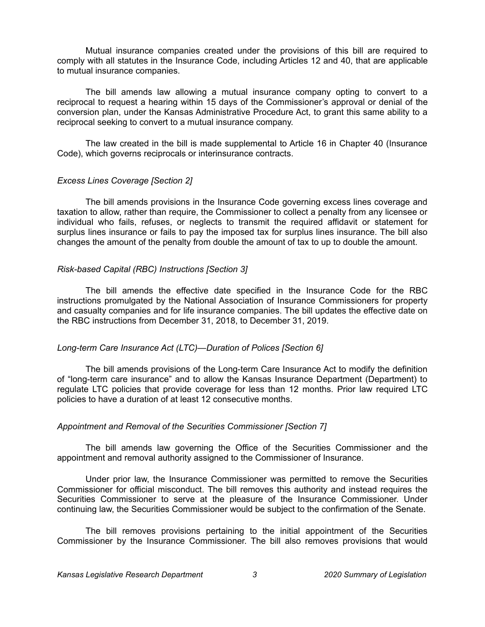Mutual insurance companies created under the provisions of this bill are required to comply with all statutes in the Insurance Code, including Articles 12 and 40, that are applicable to mutual insurance companies.

The bill amends law allowing a mutual insurance company opting to convert to a reciprocal to request a hearing within 15 days of the Commissioner's approval or denial of the conversion plan, under the Kansas Administrative Procedure Act, to grant this same ability to a reciprocal seeking to convert to a mutual insurance company.

The law created in the bill is made supplemental to Article 16 in Chapter 40 (Insurance Code), which governs reciprocals or interinsurance contracts.

### *Excess Lines Coverage [Section 2]*

The bill amends provisions in the Insurance Code governing excess lines coverage and taxation to allow, rather than require, the Commissioner to collect a penalty from any licensee or individual who fails, refuses, or neglects to transmit the required affidavit or statement for surplus lines insurance or fails to pay the imposed tax for surplus lines insurance. The bill also changes the amount of the penalty from double the amount of tax to up to double the amount.

### *Risk-based Capital (RBC) Instructions [Section 3]*

The bill amends the effective date specified in the Insurance Code for the RBC instructions promulgated by the National Association of Insurance Commissioners for property and casualty companies and for life insurance companies. The bill updates the effective date on the RBC instructions from December 31, 2018, to December 31, 2019.

#### *Long-term Care Insurance Act (LTC)—Duration of Polices [Section 6]*

The bill amends provisions of the Long-term Care Insurance Act to modify the definition of "long-term care insurance" and to allow the Kansas Insurance Department (Department) to regulate LTC policies that provide coverage for less than 12 months. Prior law required LTC policies to have a duration of at least 12 consecutive months.

#### *Appointment and Removal of the Securities Commissioner [Section 7]*

The bill amends law governing the Office of the Securities Commissioner and the appointment and removal authority assigned to the Commissioner of Insurance.

Under prior law, the Insurance Commissioner was permitted to remove the Securities Commissioner for official misconduct. The bill removes this authority and instead requires the Securities Commissioner to serve at the pleasure of the Insurance Commissioner. Under continuing law, the Securities Commissioner would be subject to the confirmation of the Senate.

The bill removes provisions pertaining to the initial appointment of the Securities Commissioner by the Insurance Commissioner. The bill also removes provisions that would